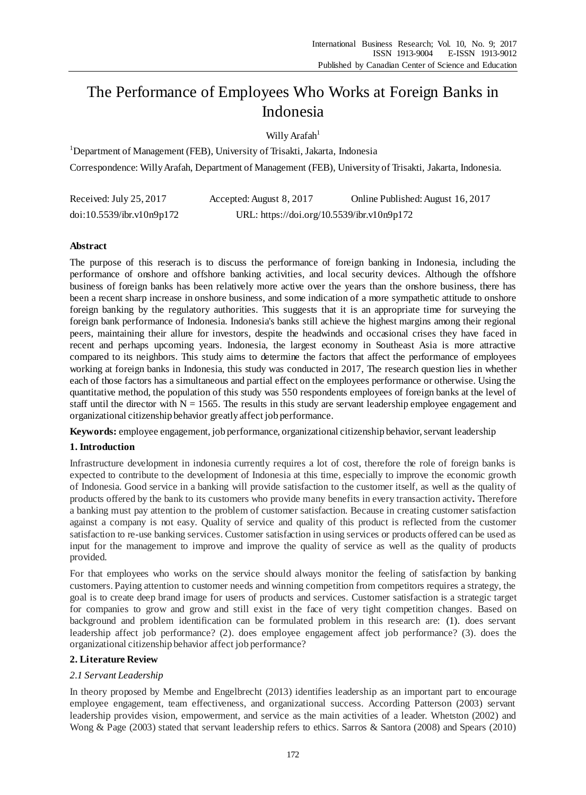# The Performance of Employees Who Works at Foreign Banks in Indonesia

Willy  $A$ rafah $1$ 

<sup>1</sup>Department of Management (FEB), University of Trisakti, Jakarta, Indonesia Correspondence: Willy Arafah, Department of Management (FEB), University of Trisakti, Jakarta, Indonesia.

Received: July 25, 2017 Accepted:August 8, 2017 Online Published: August 16, 2017 doi:10.5539/ibr.v10n9p172 URL: https://doi.org/10.5539/ibr.v10n9p172

## **Abstract**

The purpose of this reserach is to discuss the performance of foreign banking in Indonesia, including the performance of onshore and offshore banking activities, and local security devices. Although the offshore business of foreign banks has been relatively more active over the years than the onshore business, there has been a recent sharp increase in onshore business, and some indication of a more sympathetic attitude to onshore foreign banking by the regulatory authorities. This suggests that it is an appropriate time for surveying the foreign bank performance of Indonesia. Indonesia's banks still achieve the highest margins among their regional peers, maintaining their allure for investors, despite the headwinds and occasional crises they have faced in recent and perhaps upcoming years. Indonesia, the largest economy in Southeast Asia is more attractive compared to its neighbors. This study aims to determine the factors that affect the performance of employees working at foreign banks in Indonesia, this study was conducted in 2017, The research question lies in whether each of those factors has a simultaneous and partial effect on the employees performance or otherwise. Using the quantitative method, the population of this study was 550 respondents employees of foreign banks at the level of staff until the director with  $N = 1565$ . The results in this study are servant leadership employee engagement and organizational citizenship behavior greatly affect job performance.

**Keywords:** employee engagement, job performance, organizational citizenship behavior, servant leadership

## **1. Introduction**

Infrastructure development in indonesia currently requires a lot of cost, therefore the role of foreign banks is expected to contribute to the development of Indonesia at this time, especially to improve the economic growth of Indonesia. Good service in a banking will provide satisfaction to the customer itself, as well as the quality of products offered by the bank to its customers who provide many benefits in every transaction activity**.** Therefore a banking must pay attention to the problem of customer satisfaction. Because in creating customer satisfaction against a company is not easy. Quality of service and quality of this product is reflected from the customer satisfaction to re-use banking services. Customer satisfaction in using services or products offered can be used as input for the management to improve and improve the quality of service as well as the quality of products provided.

For that employees who works on the service should always monitor the feeling of satisfaction by banking customers. Paying attention to customer needs and winning competition from competitors requires a strategy, the goal is to create deep brand image for users of products and services. Customer satisfaction is a strategic target for companies to grow and grow and still exist in the face of very tight competition changes. Based on background and problem identification can be formulated problem in this research are: (1). does servant leadership affect job performance? (2). does employee engagement affect job performance? (3). does the organizational citizenship behavior affect job performance?

## **2. Literature Review**

## *2.1 Servant Leadership*

In theory proposed by Membe and Engelbrecht (2013) identifies leadership as an important part to encourage employee engagement, team effectiveness, and organizational success. According Patterson (2003) servant leadership provides vision, empowerment, and service as the main activities of a leader. Whetston (2002) and Wong & Page (2003) stated that servant leadership refers to ethics. Sarros & Santora (2008) and Spears (2010)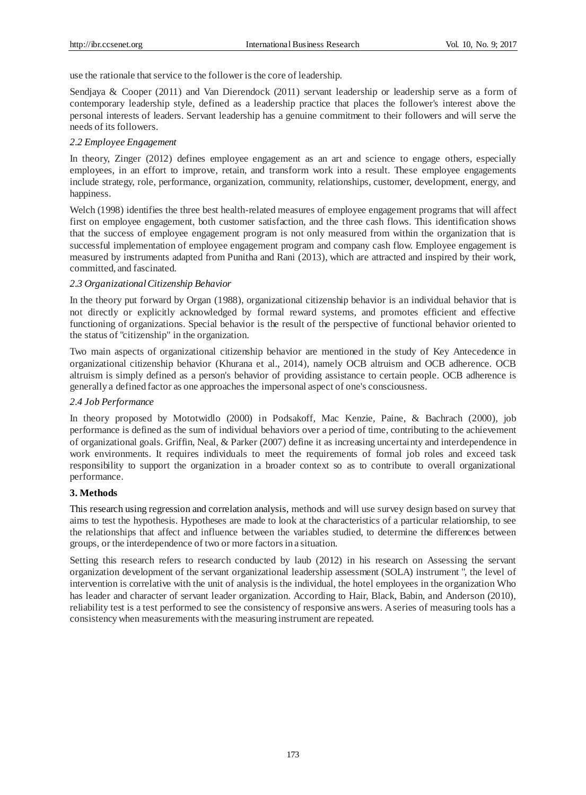use the rationale that service to the follower is the core of leadership.

Sendjaya & Cooper (2011) and Van Dierendock (2011) servant leadership or leadership serve as a form of contemporary leadership style, defined as a leadership practice that places the follower's interest above the personal interests of leaders. Servant leadership has a genuine commitment to their followers and will serve the needs of its followers.

## *2.2 Employee Engagement*

In theory, Zinger (2012) defines employee engagement as an art and science to engage others, especially employees, in an effort to improve, retain, and transform work into a result. These employee engagements include strategy, role, performance, organization, community, relationships, customer, development, energy, and happiness.

Welch (1998) identifies the three best health-related measures of employee engagement programs that will affect first on employee engagement, both customer satisfaction, and the three cash flows. This identification shows that the success of employee engagement program is not only measured from within the organization that is successful implementation of employee engagement program and company cash flow. Employee engagement is measured by instruments adapted from Punitha and Rani (2013), which are attracted and inspired by their work, committed, and fascinated.

## *2.3 Organizational Citizenship Behavior*

In the theory put forward by Organ (1988), organizational citizenship behavior is an individual behavior that is not directly or explicitly acknowledged by formal reward systems, and promotes efficient and effective functioning of organizations. Special behavior is the result of the perspective of functional behavior oriented to the status of "citizenship" in the organization.

Two main aspects of organizational citizenship behavior are mentioned in the study of Key Antecedence in organizational citizenship behavior (Khurana et al., 2014), namely OCB altruism and OCB adherence. OCB altruism is simply defined as a person's behavior of providing assistance to certain people. OCB adherence is generally a defined factor as one approaches the impersonal aspect of one's consciousness.

### *2.4 Job Performance*

In theory proposed by Mototwidlo (2000) in Podsakoff, Mac Kenzie, Paine, & Bachrach (2000), job performance is defined as the sum of individual behaviors over a period of time, contributing to the achievement of organizational goals. Griffin, Neal, & Parker (2007) define it as increasing uncertainty and interdependence in work environments. It requires individuals to meet the requirements of formal job roles and exceed task responsibility to support the organization in a broader context so as to contribute to overall organizational performance.

## **3. Methods**

This research using regression and correlation analysis, methods and will use survey design based on survey that aims to test the hypothesis. Hypotheses are made to look at the characteristics of a particular relationship, to see the relationships that affect and influence between the variables studied, to determine the differences between groups, or the interdependence of two or more factors in a situation.

Setting this research refers to research conducted by laub (2012) in his research on Assessing the servant organization development of the servant organizational leadership assessment (SOLA) instrument ", the level of intervention is correlative with the unit of analysis is the individual, the hotel employees in the organization Who has leader and character of servant leader organization. According to Hair, Black, Babin, and Anderson (2010), reliability test is a test performed to see the consistency of responsive answers. A series of measuring tools has a consistency when measurements with the measuring instrument are repeated.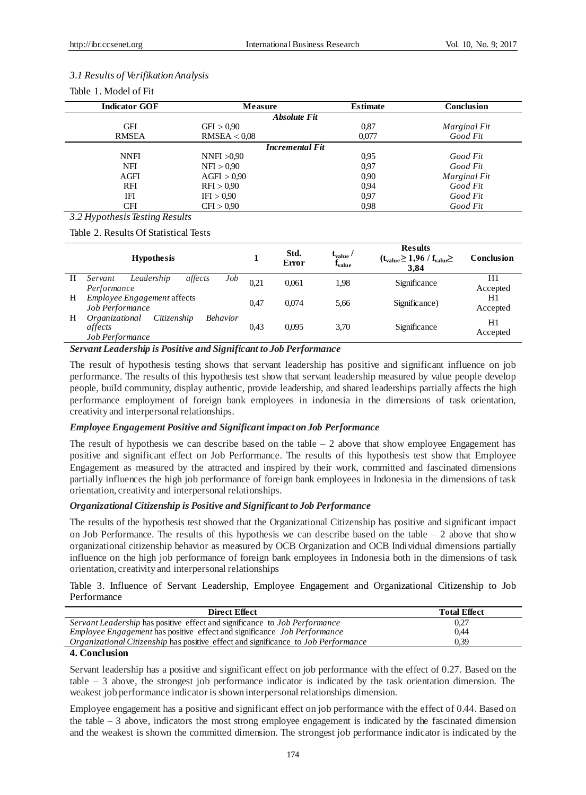## *3.1 Results of Verifikation Analysis*

# Table 1. Model of Fit

| <b>Indicator GOF</b>   | Measure      | <b>Estimate</b> | Conclusion   |  |  |  |  |  |
|------------------------|--------------|-----------------|--------------|--|--|--|--|--|
| <b>Absolute Fit</b>    |              |                 |              |  |  |  |  |  |
| GFI                    | GFI > 0.90   | 0,87            | Marginal Fit |  |  |  |  |  |
| <b>RMSEA</b>           | RMSEA < 0.08 | 0,077           | Good Fit     |  |  |  |  |  |
| <i>Incremental Fit</i> |              |                 |              |  |  |  |  |  |
| <b>NNFI</b>            | NNFI > 0.90  | 0.95            | Good Fit     |  |  |  |  |  |
| <b>NFI</b>             | NFI > 0.90   | 0.97            | Good Fit     |  |  |  |  |  |
| AGFI                   | AGFI > 0.90  | 0.90            | Marginal Fit |  |  |  |  |  |
| <b>RFI</b>             | RFI > 0.90   | 0.94            | Good Fit     |  |  |  |  |  |
| IFI                    | IFI > 0.90   | 0.97            | Good Fit     |  |  |  |  |  |
| CFI                    | CFI > 0.90   | 0.98            | Good Fit     |  |  |  |  |  |

*3.2 Hypothesis Testing Results*

Table 2. Results Of Statistical Tests

|   | <b>Hypothesis</b>                                                              |      | Std.<br>Error | $L_{value}$<br><b>L</b> value | <b>Results</b><br>$(t_{value} \ge 1.96 / f_{value} \ge$<br>3,84 | Conclusion     |
|---|--------------------------------------------------------------------------------|------|---------------|-------------------------------|-----------------------------------------------------------------|----------------|
| Н | Leadership<br>affects<br>Servant<br>Job                                        | 0.21 | 0.061         | 1.98                          | Significance                                                    | H1             |
| Н | Performance                                                                    |      |               |                               |                                                                 | Accepted<br>H1 |
|   | <i>Employee Engagement</i> affects<br>Job Performance                          | 0.47 | 0.074         | 5,66                          | Significance)                                                   | Accepted       |
| H | Organizational<br><b>Behavior</b><br>Citizenship<br>affects<br>Job Performance | 0.43 | 0.095         | 3.70                          | Significance                                                    | H1<br>Accepted |

*Servant Leadership is Positive and Significant to Job Performance* 

The result of hypothesis testing shows that servant leadership has positive and significant influence on job performance. The results of this hypothesis test show that servant leadership measured by value people develop people, build community, display authentic, provide leadership, and shared leaderships partially affects the high performance employment of foreign bank employees in indonesia in the dimensions of task orientation, creativity and interpersonal relationships.

#### *Employee Engagement Positive and Significant impact on Job Performance*

The result of hypothesis we can describe based on the table  $-2$  above that show employee Engagement has positive and significant effect on Job Performance. The results of this hypothesis test show that Employee Engagement as measured by the attracted and inspired by their work, committed and fascinated dimensions partially influences the high job performance of foreign bank employees in Indonesia in the dimensions of task orientation, creativity and interpersonal relationships.

#### *Organizational Citizenship is Positive and Significant to Job Performance*

The results of the hypothesis test showed that the Organizational Citizenship has positive and significant impact on Job Performance. The results of this hypothesis we can describe based on the table  $-2$  above that show organizational citizenship behavior as measured by OCB Organization and OCB Individual dimensions partially influence on the high job performance of foreign bank employees in Indonesia both in the dimensions of task orientation, creativity and interpersonal relationships

Table 3. Influence of Servant Leadership, Employee Engagement and Organizational Citizenship to Job Performance

| <b>Direct Effect</b>                                                                             | <b>Total Effect</b> |
|--------------------------------------------------------------------------------------------------|---------------------|
| Servant Leadership has positive effect and significance to Job Performance                       | 0.27                |
| <i>Employee Engagement</i> has positive effect and significance <i>Job Performance</i>           | 0.44                |
| <i>Organizational Citizenship</i> has positive effect and significance to <i>Job Performance</i> | 0.39                |
|                                                                                                  |                     |

#### **4. Conclusion**

Servant leadership has a positive and significant effect on job performance with the effect of 0.27. Based on the table – 3 above, the strongest job performance indicator is indicated by the task orientation dimension. The weakest job performance indicator is shown interpersonal relationships dimension.

Employee engagement has a positive and significant effect on job performance with the effect of 0.44. Based on the table  $-3$  above, indicators the most strong employee engagement is indicated by the fascinated dimension and the weakest is shown the committed dimension. The strongest job performance indicator is indicated by the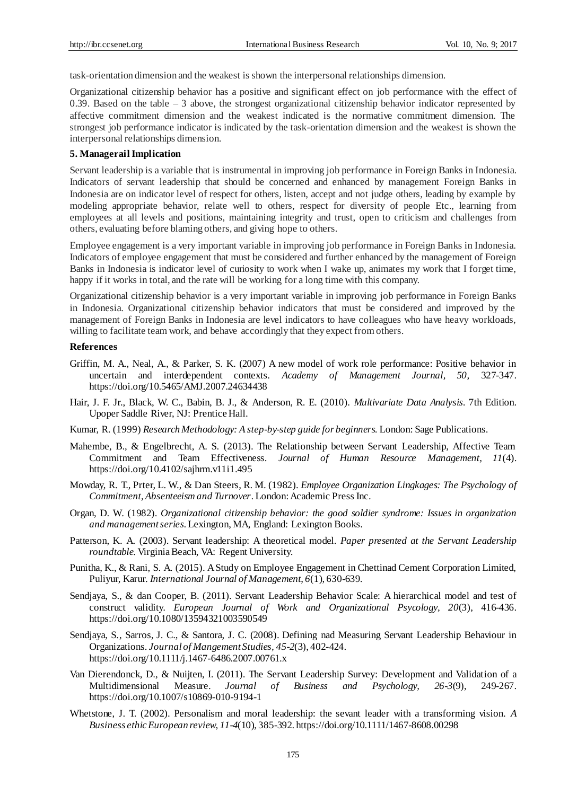task-orientation dimension and the weakest is shown the interpersonal relationships dimension.

Organizational citizenship behavior has a positive and significant effect on job performance with the effect of 0.39. Based on the table – 3 above, the strongest organizational citizenship behavior indicator represented by affective commitment dimension and the weakest indicated is the normative commitment dimension. The strongest job performance indicator is indicated by the task-orientation dimension and the weakest is shown the interpersonal relationships dimension.

#### **5. Managerail Implication**

Servant leadership is a variable that is instrumental in improving job performance in Foreign Banks in Indonesia. Indicators of servant leadership that should be concerned and enhanced by management Foreign Banks in Indonesia are on indicator level of respect for others, listen, accept and not judge others, leading by example by modeling appropriate behavior, relate well to others, respect for diversity of people Etc., learning from employees at all levels and positions, maintaining integrity and trust, open to criticism and challenges from others, evaluating before blaming others, and giving hope to others.

Employee engagement is a very important variable in improving job performance in Foreign Banks in Indonesia. Indicators of employee engagement that must be considered and further enhanced by the management of Foreign Banks in Indonesia is indicator level of curiosity to work when I wake up, animates my work that I forget time, happy if it works in total, and the rate will be working for a long time with this company.

Organizational citizenship behavior is a very important variable in improving job performance in Foreign Banks in Indonesia. Organizational citizenship behavior indicators that must be considered and improved by the management of Foreign Banks in Indonesia are level indicators to have colleagues who have heavy workloads, willing to facilitate team work, and behave accordingly that they expect from others.

#### **References**

- Griffin, M. A., Neal, A., & Parker, S. K. (2007) A new model of work role performance: Positive behavior in uncertain and interdependent contexts. *Academy of Management Journal, 50,* 327-347. https://doi.org/10.5465/AMJ.2007.24634438
- Hair, J. F. Jr., Black, W. C., Babin, B. J., & Anderson, R. E. (2010). *Multivariate Data Analysis.* 7th Edition. Upoper Saddle River, NJ: Prentice Hall.
- Kumar, R. (1999) *Research Methodology: A step-by-step guide for beginners.* London: Sage Publications.
- Mahembe, B., & Engelbrecht, A. S. (2013). The Relationship between Servant Leadership, Affective Team Commitment and Team Effectiveness. *Journal of Human Resource Management, 11*(4). https://doi.org/10.4102/sajhrm.v11i1.495
- Mowday, R. T., Prter, L. W., & Dan Steers, R. M. (1982). *Employee Organization Lingkages: The Psychology of Commitment, Absenteeism and Turnover*. London: Academic Press Inc.
- Organ, D. W. (1982). *Organizational citizenship behavior: the good soldier syndrome: Issues in organization and management series*. Lexington, MA, England: Lexington Books.
- Patterson, K. A. (2003). Servant leadership: A theoretical model. *Paper presented at the Servant Leadership roundtable.* Virginia Beach, VA: Regent University.
- Punitha, K., & Rani, S. A. (2015). A Study on Employee Engagement in Chettinad Cement Corporation Limited, Puliyur, Karur. *International Journal of Management*, *6*(1), 630-639.
- Sendjaya, S., & dan Cooper, B. (2011). Servant Leadership Behavior Scale: A hierarchical model and test of construct validity. *European Journal of Work and Organizational Psycology, 20*(3), 416-436. https://doi.org/10.1080/13594321003590549
- Sendjaya, S., Sarros, J. C., & Santora, J. C. (2008). Defining nad Measuring Servant Leadership Behaviour in Organizations. *Journal of Mangement Studies, 45-2*(3), 402-424. https://doi.org/10.1111/j.1467-6486.2007.00761.x
- Van Dierendonck, D., & Nuijten, I. (2011). The Servant Leadership Survey: Development and Validation of a Multidimensional Measure. *Journal of Business and Psychology, 26-3*(9), 249-267. https://doi.org/10.1007/s10869-010-9194-1
- Whetstone, J. T. (2002). Personalism and moral leadership: the sevant leader with a transforming vision. *A Business ethic European review, 11-4*(10), 385-392. https://doi.org/10.1111/1467-8608.00298